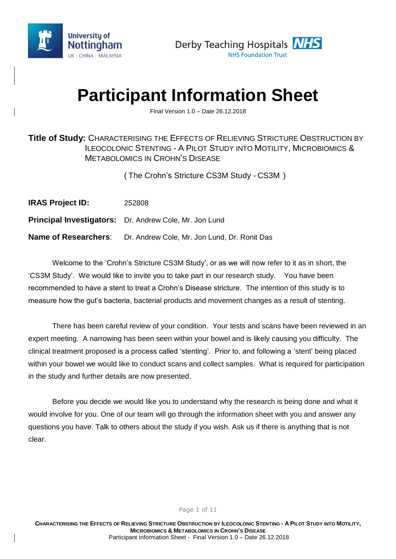



# **Participant Information Sheet**

Final Version 1.0 – Date 26.12.2018

### **Title of Study:** CHARACTERISING THE EFFECTS OF RELIEVING STRICTURE OBSTRUCTION BY ILEOCOLONIC STENTING - A PILOT STUDY INTO MOTILITY, MICROBIOMICS & METABOLOMICS IN CROHN'S DISEASE

( The Crohn's Stricture CS3M Study - CS3M )

| <b>IRAS Project ID:</b>     | 252808                                                        |
|-----------------------------|---------------------------------------------------------------|
|                             | <b>Principal Investigators:</b> Dr. Andrew Cole, Mr. Jon Lund |
| <b>Name of Researchers:</b> | Dr. Andrew Cole, Mr. Jon Lund, Dr. Ronit Das                  |

Welcome to the 'Crohn's Stricture CS3M Study', or as we will now refer to it as in short, the 'CS3M Study'. We would like to invite you to take part in our research study. You have been recommended to have a stent to treat a Crohn's Disease stricture. The intention of this study is to measure how the gut's bacteria, bacterial products and movement changes as a result of stenting.

There has been careful review of your condition. Your tests and scans have been reviewed in an expert meeting. A narrowing has been seen within your bowel and is likely causing you difficulty. The clinical treatment proposed is a process called 'stenting'. Prior to, and following a 'stent' being placed within your bowel we would like to conduct scans and collect samples. What is required for participation in the study and further details are now presented.

Before you decide we would like you to understand why the research is being done and what it would involve for you. One of our team will go through the information sheet with you and answer any questions you have. Talk to others about the study if you wish. Ask us if there is anything that is not clear.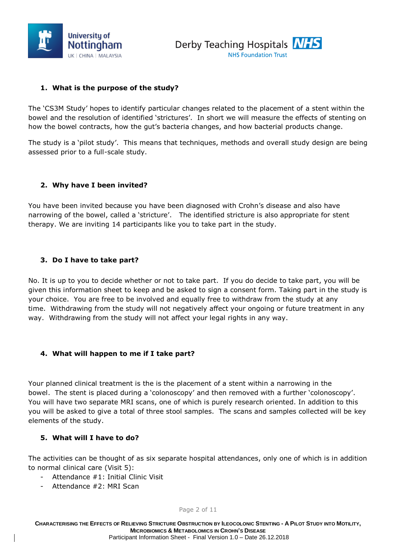



#### **1. What is the purpose of the study?**

The 'CS3M Study' hopes to identify particular changes related to the placement of a stent within the bowel and the resolution of identified 'strictures'. In short we will measure the effects of stenting on how the bowel contracts, how the gut's bacteria changes, and how bacterial products change.

The study is a 'pilot study'. This means that techniques, methods and overall study design are being assessed prior to a full-scale study.

#### **2. Why have I been invited?**

You have been invited because you have been diagnosed with Crohn's disease and also have narrowing of the bowel, called a 'stricture'. The identified stricture is also appropriate for stent therapy. We are inviting 14 participants like you to take part in the study.

#### **3. Do I have to take part?**

No. It is up to you to decide whether or not to take part. If you do decide to take part, you will be given this information sheet to keep and be asked to sign a consent form. Taking part in the study is your choice. You are free to be involved and equally free to withdraw from the study at any time. Withdrawing from the study will not negatively affect your ongoing or future treatment in any way. Withdrawing from the study will not affect your legal rights in any way.

#### **4. What will happen to me if I take part?**

Your planned clinical treatment is the is the placement of a stent within a narrowing in the bowel. The stent is placed during a 'colonoscopy' and then removed with a further 'colonoscopy'. You will have two separate MRI scans, one of which is purely research oriented. In addition to this you will be asked to give a total of three stool samples. The scans and samples collected will be key elements of the study.

#### **5. What will I have to do?**

The activities can be thought of as six separate hospital attendances, only one of which is in addition to normal clinical care (Visit 5):

- Attendance #1: Initial Clinic Visit
- Attendance #2: MRI Scan

Page 2 of 11

CHARACTERISING THE EFFECTS OF RELIEVING STRICTURE OBSTRUCTION BY ILEOCOLONIC STENTING - A PILOT STUDY INTO MOTILITY, **MICROBIOMICS & METABOLOMICS IN CROHN'S DISEASE** Participant Information Sheet - Final Version 1.0 – Date 26.12.2018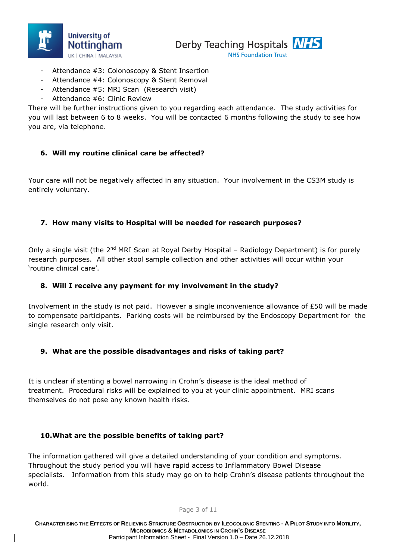



- **NHS Foundation Trust**
- Attendance #3: Colonoscopy & Stent Insertion
- Attendance #4: Colonoscopy & Stent Removal
- Attendance #5: MRI Scan (Research visit)
- Attendance #6: Clinic Review

There will be further instructions given to you regarding each attendance. The study activities for you will last between 6 to 8 weeks. You will be contacted 6 months following the study to see how you are, via telephone.

#### **6. Will my routine clinical care be affected?**

Your care will not be negatively affected in any situation. Your involvement in the CS3M study is entirely voluntary.

#### **7. How many visits to Hospital will be needed for research purposes?**

Only a single visit (the 2<sup>nd</sup> MRI Scan at Royal Derby Hospital - Radiology Department) is for purely research purposes. All other stool sample collection and other activities will occur within your 'routine clinical care'.

#### **8. Will I receive any payment for my involvement in the study?**

Involvement in the study is not paid. However a single inconvenience allowance of £50 will be made to compensate participants. Parking costs will be reimbursed by the Endoscopy Department for the single research only visit.

#### **9. What are the possible disadvantages and risks of taking part?**

It is unclear if stenting a bowel narrowing in Crohn's disease is the ideal method of treatment. Procedural risks will be explained to you at your clinic appointment. MRI scans themselves do not pose any known health risks.

#### **10.What are the possible benefits of taking part?**

The information gathered will give a detailed understanding of your condition and symptoms. Throughout the study period you will have rapid access to Inflammatory Bowel Disease specialists. Information from this study may go on to help Crohn's disease patients throughout the world.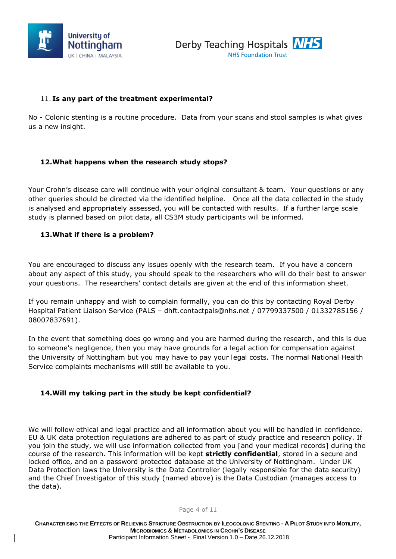



#### 11. **Is any part of the treatment experimental?**

No - Colonic stenting is a routine procedure. Data from your scans and stool samples is what gives us a new insight.

#### **12.What happens when the research study stops?**

Your Crohn's disease care will continue with your original consultant & team. Your questions or any other queries should be directed via the identified helpline. Once all the data collected in the study is analysed and appropriately assessed, you will be contacted with results. If a further large scale study is planned based on pilot data, all CS3M study participants will be informed.

#### **13.What if there is a problem?**

You are encouraged to discuss any issues openly with the research team. If you have a concern about any aspect of this study, you should speak to the researchers who will do their best to answer your questions. The researchers' contact details are given at the end of this information sheet.

If you remain unhappy and wish to complain formally, you can do this by contacting Royal Derby Hospital Patient Liaison Service (PALS – [dhft.contactpals@nhs.net](mailto:dhft.contactpals@nhs.net) / 07799337500 / 01332785156 / 08007837691).

In the event that something does go wrong and you are harmed during the research, and this is due to someone's negligence, then you may have grounds for a legal action for compensation against the University of Nottingham but you may have to pay your legal costs. The normal National Health Service complaints mechanisms will still be available to you.

#### **14.Will my taking part in the study be kept confidential?**

We will follow ethical and legal practice and all information about you will be handled in confidence. EU & UK data protection regulations are adhered to as part of study practice and research policy. If you join the study, we will use information collected from you [and your medical records] during the course of the research. This information will be kept **strictly confidential**, stored in a secure and locked office, and on a password protected database at the University of Nottingham. Under UK Data Protection laws the University is the Data Controller (legally responsible for the data security) and the Chief Investigator of this study (named above) is the Data Custodian (manages access to the data).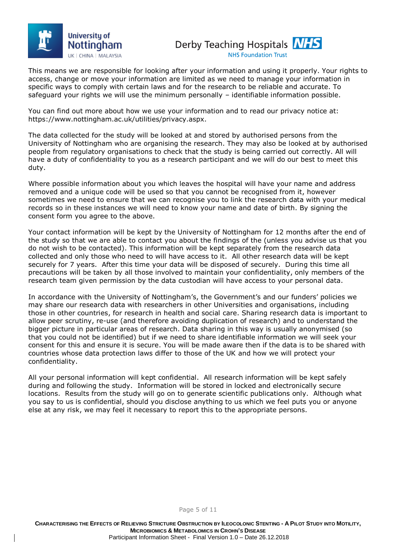



This means we are responsible for looking after your information and using it properly. Your rights to access, change or move your information are limited as we need to manage your information in specific ways to comply with certain laws and for the research to be reliable and accurate. To safeguard your rights we will use the minimum personally – identifiable information possible.

You can find out more about how we use your information and to read our privacy notice at: https://www.nottingham.ac.uk/utilities/privacy.aspx.

The data collected for the study will be looked at and stored by authorised persons from the University of Nottingham who are organising the research. They may also be looked at by authorised people from regulatory organisations to check that the study is being carried out correctly. All will have a duty of confidentiality to you as a research participant and we will do our best to meet this duty.

Where possible information about you which leaves the hospital will have your name and address removed and a unique code will be used so that you cannot be recognised from it, however sometimes we need to ensure that we can recognise you to link the research data with your medical records so in these instances we will need to know your name and date of birth. By signing the consent form you agree to the above.

Your contact information will be kept by the University of Nottingham for 12 months after the end of the study so that we are able to contact you about the findings of the (unless you advise us that you do not wish to be contacted). This information will be kept separately from the research data collected and only those who need to will have access to it. All other research data will be kept securely for 7 years. After this time your data will be disposed of securely. During this time all precautions will be taken by all those involved to maintain your confidentiality, only members of the research team given permission by the data custodian will have access to your personal data.

In accordance with the University of Nottingham's, the Government's and our funders' policies we may share our research data with researchers in other Universities and organisations, including those in other countries, for research in health and social care. Sharing research data is important to allow peer scrutiny, re-use (and therefore avoiding duplication of research) and to understand the bigger picture in particular areas of research. Data sharing in this way is usually anonymised (so that you could not be identified) but if we need to share identifiable information we will seek your consent for this and ensure it is secure. You will be made aware then if the data is to be shared with countries whose data protection laws differ to those of the UK and how we will protect your confidentiality.

All your personal information will kept confidential. All research information will be kept safely during and following the study. Information will be stored in locked and electronically secure locations. Results from the study will go on to generate scientific publications only. Although what you say to us is confidential, should you disclose anything to us which we feel puts you or anyone else at any risk, we may feel it necessary to report this to the appropriate persons.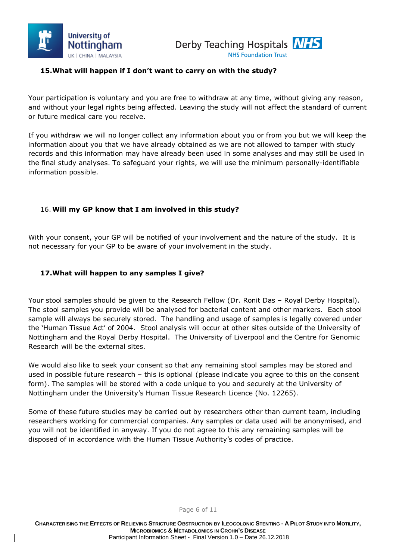



#### **15.What will happen if I don't want to carry on with the study?**

Your participation is voluntary and you are free to withdraw at any time, without giving any reason, and without your legal rights being affected. Leaving the study will not affect the standard of current or future medical care you receive.

If you withdraw we will no longer collect any information about you or from you but we will keep the information about you that we have already obtained as we are not allowed to tamper with study records and this information may have already been used in some analyses and may still be used in the final study analyses. To safeguard your rights, we will use the minimum personally-identifiable information possible.

#### 16.**Will my GP know that I am involved in this study?**

With your consent, your GP will be notified of your involvement and the nature of the study. It is not necessary for your GP to be aware of your involvement in the study.

#### **17.What will happen to any samples I give?**

Your stool samples should be given to the Research Fellow (Dr. Ronit Das – Royal Derby Hospital). The stool samples you provide will be analysed for bacterial content and other markers. Each stool sample will always be securely stored. The handling and usage of samples is legally covered under the 'Human Tissue Act' of 2004. Stool analysis will occur at other sites outside of the University of Nottingham and the Royal Derby Hospital. The University of Liverpool and the Centre for Genomic Research will be the external sites.

We would also like to seek your consent so that any remaining stool samples may be stored and used in possible future research – this is optional (please indicate you agree to this on the consent form). The samples will be stored with a code unique to you and securely at the University of Nottingham under the University's Human Tissue Research Licence (No. 12265).

Some of these future studies may be carried out by researchers other than current team, including researchers working for commercial companies. Any samples or data used will be anonymised, and you will not be identified in anyway. If you do not agree to this any remaining samples will be disposed of in accordance with the Human Tissue Authority's codes of practice.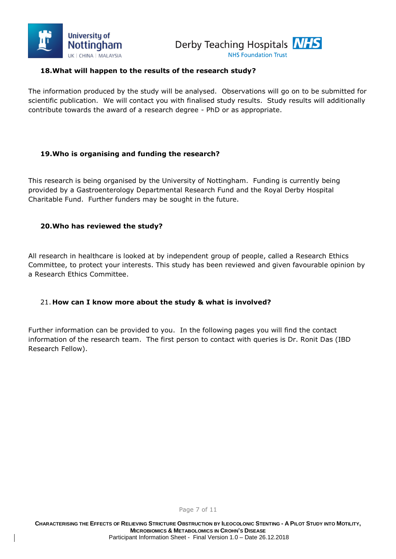



#### **18.What will happen to the results of the research study?**

The information produced by the study will be analysed. Observations will go on to be submitted for scientific publication. We will contact you with finalised study results. Study results will additionally contribute towards the award of a research degree - PhD or as appropriate.

#### **19.Who is organising and funding the research?**

This research is being organised by the University of Nottingham. Funding is currently being provided by a Gastroenterology Departmental Research Fund and the Royal Derby Hospital Charitable Fund. Further funders may be sought in the future.

#### **20.Who has reviewed the study?**

All research in healthcare is looked at by independent group of people, called a Research Ethics Committee, to protect your interests. This study has been reviewed and given favourable opinion by a Research Ethics Committee.

#### 21. **How can I know more about the study & what is involved?**

Further information can be provided to you. In the following pages you will find the contact information of the research team. The first person to contact with queries is Dr. Ronit Das (IBD Research Fellow).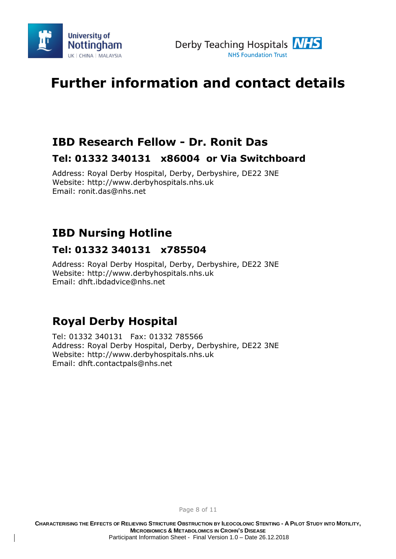



# **Further information and contact details**

# **IBD Research Fellow - Dr. Ronit Das**

### **Tel: 01332 340131 x86004 or Via Switchboard**

Address: Royal Derby Hospital, Derby, Derbyshire, DE22 3NE Website: [http://www.derbyhospitals.nhs.uk](http://www.derbyhospitals.nhs.uk/) Email: ronit.das@nhs.net

# **IBD Nursing Hotline**

## **Tel: 01332 340131 x785504**

Address: Royal Derby Hospital, Derby, Derbyshire, DE22 3NE Website: [http://www.derbyhospitals.nhs.uk](http://www.derbyhospitals.nhs.uk/) Email: dhft.ibdadvice@nhs.net

# **Royal Derby Hospital**

Tel: 01332 340131 Fax: 01332 785566 Address: Royal Derby Hospital, Derby, Derbyshire, DE22 3NE Website: [http://www.derbyhospitals.nhs.uk](http://www.derbyhospitals.nhs.uk/) Email: dhft.contactpals@nhs.net

CHARACTERISING THE EFFECTS OF RELIEVING STRICTURE OBSTRUCTION BY ILEOCOLONIC STENTING - A PILOT STUDY INTO MOTILITY, **MICROBIOMICS & METABOLOMICS IN CROHN'S DISEASE**

Page 8 of 11

Participant Information Sheet - Final Version 1.0 – Date 26.12.2018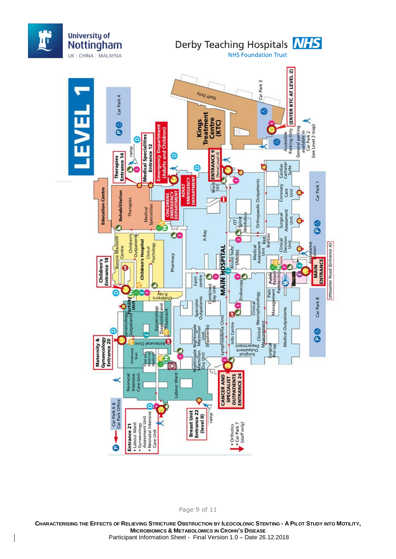

Page 9 of 11

CHARACTERISING THE EFFECTS OF RELIEVING STRICTURE OBSTRUCTION BY ILEOCOLONIC STENTING - A PILOT STUDY INTO MOTILITY, **MICROBIOMICS & METABOLOMICS IN CROHN'S DISEASE** Participant Information Sheet - Final Version 1.0 – Date 26.12.2018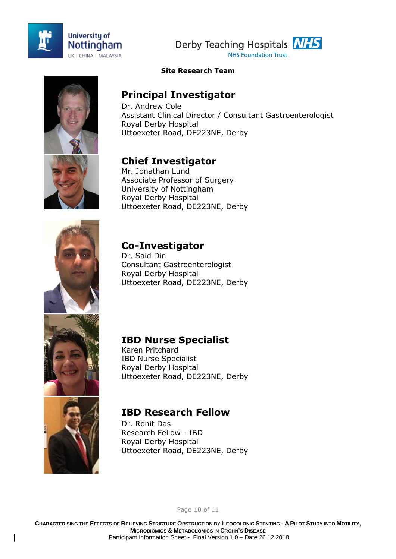





#### **Site Research Team**

## **Principal Investigator**

Dr. Andrew Cole Assistant Clinical Director / Consultant Gastroenterologist Royal Derby Hospital Uttoexeter Road, DE223NE, Derby

# **Chief Investigator**

Mr. Jonathan Lund Associate Professor of Surgery University of Nottingham Royal Derby Hospital Uttoexeter Road, DE223NE, Derby

# **Co-Investigator**

Dr. Said Din Consultant Gastroenterologist Royal Derby Hospital Uttoexeter Road, DE223NE, Derby

### **IBD Nurse Specialist**

Karen Pritchard IBD Nurse Specialist Royal Derby Hospital Uttoexeter Road, DE223NE, Derby



# **IBD Research Fellow**

Dr. Ronit Das Research Fellow - IBD Royal Derby Hospital Uttoexeter Road, DE223NE, Derby

Page 10 of 11